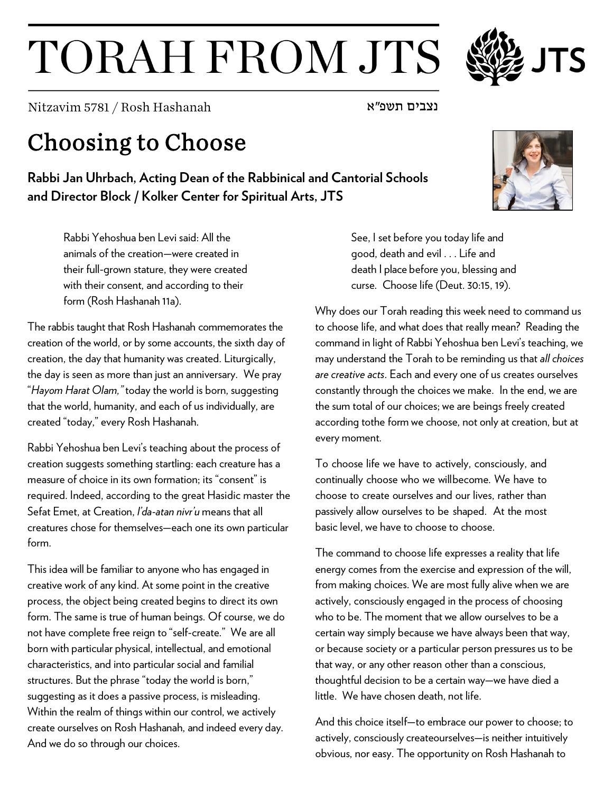## TORAH FROM JTS

נצבים תשפ"א או<code>Nitzavim</code> 5781 / Rosh Hashanah

## Choosing to Choose

**Rabbi Jan Uhrbach, Acting Dean of the Rabbinical and Cantorial Schools and Director Block / Kolker Center for Spiritual Arts, JTS**

Rabbi Yehoshua ben Levi said: All the animals of the creation—were created in their full-grown stature, they were created with their consent, and according to their form (Rosh Hashanah 11a).

The rabbis taught that Rosh Hashanah commemorates the creation of the world, or by some accounts, the sixth day of creation, the day that humanity was created. Liturgically, the day is seen as more than just an anniversary. We pray "*Hayom Harat Olam,"* today the world is born, suggesting that the world, humanity, and each of us individually, are created "today," every Rosh Hashanah.

Rabbi Yehoshua ben Levi's teaching about the process of creation suggests something startling: each creature has a measure of choice in its own formation; its "consent" is required. Indeed, according to the great Hasidic master the Sefat Emet, at Creation, *l'da-atan nivr'u* means that all creatures chose for themselves—each one its own particular form.

This idea will be familiar to anyone who has engaged in creative work of any kind. At some point in the creative process, the object being created begins to direct its own form. The same is true of human beings. Of course, we do not have complete free reign to "self-create." We are all born with particular physical, intellectual, and emotional characteristics, and into particular social and familial structures. But the phrase "today the world is born," suggesting as it does a passive process, is misleading. Within the realm of things within our control, we actively create ourselves on Rosh Hashanah, and indeed every day. And we do so through our choices.

See, I set before you today life and good, death and evil . . . Life and death I place before you, blessing and curse. Choose life (Deut. 30:15, 19).

Why does our Torah reading this week need to command us to choose life, and what does that really mean? Reading the command in light of Rabbi Yehoshua ben Levi's teaching, we may understand the Torah to be reminding us that *all choices are creative acts*. Each and every one of us creates ourselves constantly through the choices we make. In the end, we are the sum total of our choices; we are beings freely created according tothe form we choose, not only at creation, but at every moment.

To choose life we have to actively, consciously, and continually choose who we willbecome. We have to choose to create ourselves and our lives, rather than passively allow ourselves to be shaped. At the most basic level, we have to choose to choose.

The command to choose life expresses a reality that life energy comes from the exercise and expression of the will, from making choices. We are most fully alive when we are actively, consciously engaged in the process of choosing who to be. The moment that we allow ourselves to be a certain way simply because we have always been that way, or because society or a particular person pressures us to be that way, or any other reason other than a conscious, thoughtful decision to be a certain way—we have died a little. We have chosen death, not life.

And this choice itself—to embrace our power to choose; to actively, consciously createourselves—is neither intuitively obvious, nor easy. The opportunity on Rosh Hashanah to